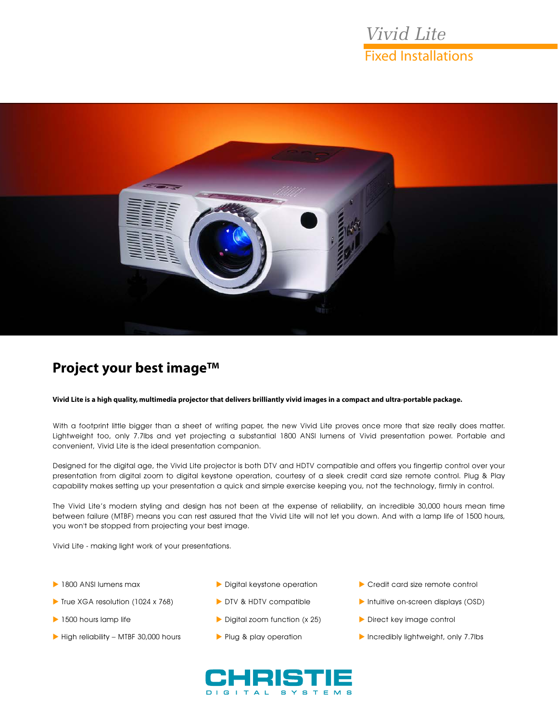# *Vivid Lite* Fixed Installations



## **Project your best image™**

#### **Vivid Lite is a high quality, multimedia projector that delivers brilliantly vivid images in a compact and ultra-portable package.**

With a footprint little bigger than a sheet of writing paper, the new Vivid Lite proves once more that size really does matter. Lightweight too, only 7.7lbs and yet projecting a substantial 1800 ANSI lumens of Vivid presentation power. Portable and convenient, Vivid Lite is the ideal presentation companion.

Designed for the digital age, the Vivid Lite projector is both DTV and HDTV compatible and offers you fingertip control over your presentation from digital zoom to digital keystone operation, courtesy of a sleek credit card size remote control. Plug & Play capability makes setting up your presentation a quick and simple exercise keeping you, not the technology, firmly in control.

The Vivid Lite's modern styling and design has not been at the expense of reliability, an incredible 30,000 hours mean time between failure (MTBF) means you can rest assured that the Vivid Lite will not let you down. And with a lamp life of 1500 hours, you won't be stopped from projecting your best image.

Vivid Lite - making light work of your presentations.

- 1800 ANSI lumens max
- True XGA resolution (1024 x 768)
- 1500 hours lamp life
- $\blacktriangleright$  High reliability MTBF 30,000 hours
- Digital keystone operation
- DTV & HDTV compatible
- Digital zoom function (x 25)
- Plug & play operation
- Credit card size remote control
- Intuitive on-screen displays (OSD)
- Direct key image control
- Incredibly lightweight, only 7.7lbs